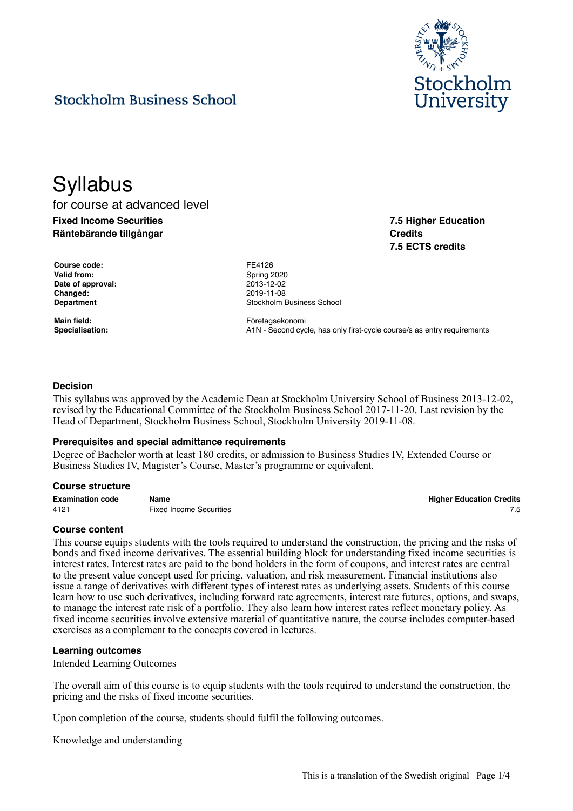

**7.5 Higher Education**

**7.5 ECTS credits**

**Credits**

## **Stockholm Business School**

# **Syllabus** for course at advanced level

**Fixed Income Securities Räntebärande tillgångar**

**Course code:** FE4126 Valid from: Spring 2020 **Date of approval:** 2013-12-02 **Changed:** 2019-11-08

**Department Constanting Constanting Constanting Constanting Constanting Constanting Constanting Constanting Constanting Constanting Constanting Constanting Constanting Constanting Constanting Constanting Constanting Cons** 

Main field: **Main field: Företagsekonomi** Specialisation: **A1N** - Second cycle, has only first-cycle course/s as entry requirements

#### **Decision**

This syllabus was approved by the Academic Dean at Stockholm University School of Business 2013-12-02, revised by the Educational Committee of the Stockholm Business School 2017-11-20. Last revision by the Head of Department, Stockholm Business School, Stockholm University 2019-11-08.

#### **Prerequisites and special admittance requirements**

Degree of Bachelor worth at least 180 credits, or admission to Business Studies IV, Extended Course or Business Studies IV, Magister's Course, Master's programme or equivalent.

#### **Course structure**

| <b>Examination code</b> | Name                           | <b>Higher Education Credits</b> |
|-------------------------|--------------------------------|---------------------------------|
| 4121                    | <b>Fixed Income Securities</b> |                                 |

#### **Course content**

This course equips students with the tools required to understand the construction, the pricing and the risks of bonds and fixed income derivatives. The essential building block for understanding fixed income securities is interest rates. Interest rates are paid to the bond holders in the form of coupons, and interest rates are central to the present value concept used for pricing, valuation, and risk measurement. Financial institutions also issue a range of derivatives with different types of interest rates as underlying assets. Students of this course learn how to use such derivatives, including forward rate agreements, interest rate futures, options, and swaps, to manage the interest rate risk of a portfolio. They also learn how interest rates reflect monetary policy. As fixed income securities involve extensive material of quantitative nature, the course includes computer-based exercises as a complement to the concepts covered in lectures.

#### **Learning outcomes**

Intended Learning Outcomes

The overall aim of this course is to equip students with the tools required to understand the construction, the pricing and the risks of fixed income securities.

Upon completion of the course, students should fulfil the following outcomes.

Knowledge and understanding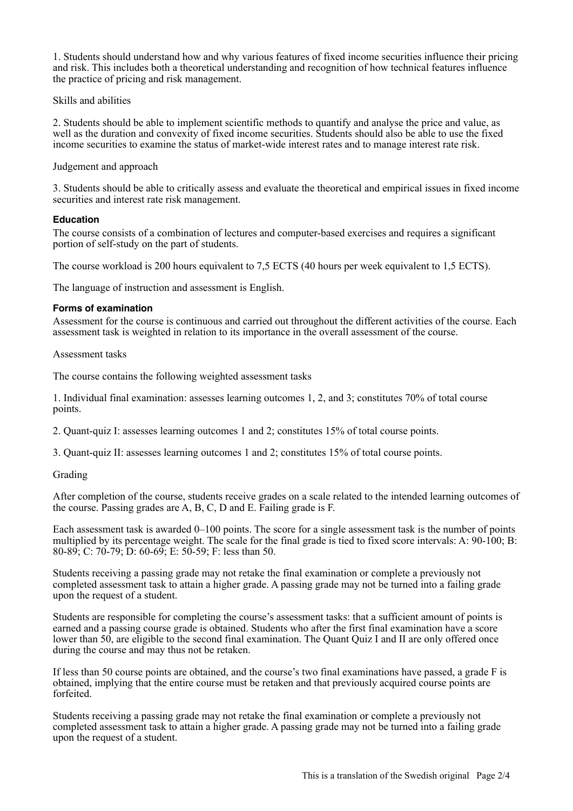1. Students should understand how and why various features of fixed income securities influence their pricing and risk. This includes both a theoretical understanding and recognition of how technical features influence the practice of pricing and risk management.

## Skills and abilities

2. Students should be able to implement scientific methods to quantify and analyse the price and value, as well as the duration and convexity of fixed income securities. Students should also be able to use the fixed income securities to examine the status of market-wide interest rates and to manage interest rate risk.

## Judgement and approach

3. Students should be able to critically assess and evaluate the theoretical and empirical issues in fixed income securities and interest rate risk management.

## **Education**

The course consists of a combination of lectures and computer-based exercises and requires a significant portion of self-study on the part of students.

The course workload is 200 hours equivalent to 7,5 ECTS (40 hours per week equivalent to 1,5 ECTS).

The language of instruction and assessment is English.

#### **Forms of examination**

Assessment for the course is continuous and carried out throughout the different activities of the course. Each assessment task is weighted in relation to its importance in the overall assessment of the course.

Assessment tasks

The course contains the following weighted assessment tasks

1. Individual final examination: assesses learning outcomes 1, 2, and 3; constitutes 70% of total course points.

2. Quant-quiz I: assesses learning outcomes 1 and 2; constitutes 15% of total course points.

3. Quant-quiz II: assesses learning outcomes 1 and 2; constitutes 15% of total course points.

Grading

After completion of the course, students receive grades on a scale related to the intended learning outcomes of the course. Passing grades are A, B, C, D and E. Failing grade is F.

Each assessment task is awarded 0–100 points. The score for a single assessment task is the number of points multiplied by its percentage weight. The scale for the final grade is tied to fixed score intervals: A: 90-100; B: 80-89; C: 70-79; D: 60-69; E: 50-59; F: less than 50.

Students receiving a passing grade may not retake the final examination or complete a previously not completed assessment task to attain a higher grade. A passing grade may not be turned into a failing grade upon the request of a student.

Students are responsible for completing the course's assessment tasks: that a sufficient amount of points is earned and a passing course grade is obtained. Students who after the first final examination have a score lower than 50, are eligible to the second final examination. The Quant Quiz I and II are only offered once during the course and may thus not be retaken.

If less than 50 course points are obtained, and the course's two final examinations have passed, a grade F is obtained, implying that the entire course must be retaken and that previously acquired course points are forfeited.

Students receiving a passing grade may not retake the final examination or complete a previously not completed assessment task to attain a higher grade. A passing grade may not be turned into a failing grade upon the request of a student.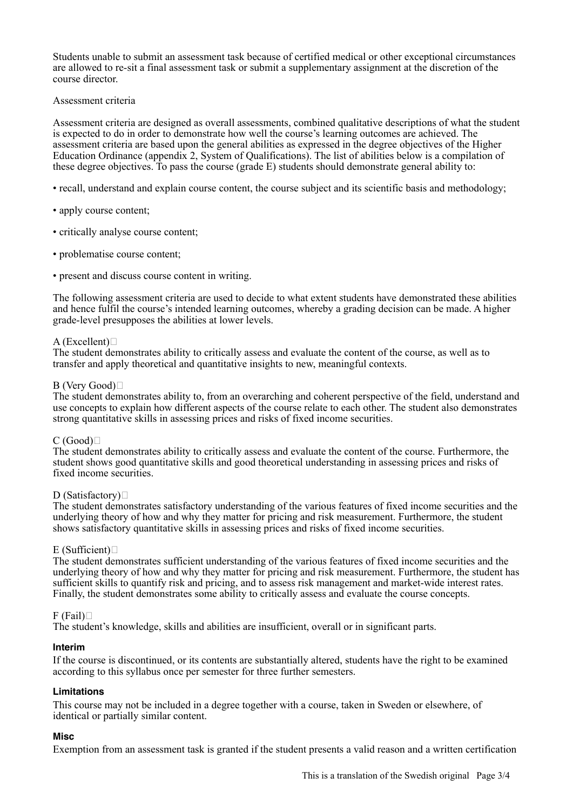Students unable to submit an assessment task because of certified medical or other exceptional circumstances are allowed to re-sit a final assessment task or submit a supplementary assignment at the discretion of the course director.

## Assessment criteria

Assessment criteria are designed as overall assessments, combined qualitative descriptions of what the student is expected to do in order to demonstrate how well the course's learning outcomes are achieved. The assessment criteria are based upon the general abilities as expressed in the degree objectives of the Higher Education Ordinance (appendix 2, System of Qualifications). The list of abilities below is a compilation of these degree objectives. To pass the course (grade E) students should demonstrate general ability to:

- recall, understand and explain course content, the course subject and its scientific basis and methodology;
- apply course content;
- critically analyse course content;
- problematise course content;
- present and discuss course content in writing.

The following assessment criteria are used to decide to what extent students have demonstrated these abilities and hence fulfil the course's intended learning outcomes, whereby a grading decision can be made. A higher grade-level presupposes the abilities at lower levels.

#### $A$  (Excellent) $\square$

The student demonstrates ability to critically assess and evaluate the content of the course, as well as to transfer and apply theoretical and quantitative insights to new, meaningful contexts.

#### B (Very Good) $\Box$

The student demonstrates ability to, from an overarching and coherent perspective of the field, understand and use concepts to explain how different aspects of the course relate to each other. The student also demonstrates strong quantitative skills in assessing prices and risks of fixed income securities.

#### $C(Good)$

The student demonstrates ability to critically assess and evaluate the content of the course. Furthermore, the student shows good quantitative skills and good theoretical understanding in assessing prices and risks of fixed income securities.

#### D (Satisfactory) $\Box$

The student demonstrates satisfactory understanding of the various features of fixed income securities and the underlying theory of how and why they matter for pricing and risk measurement. Furthermore, the student shows satisfactory quantitative skills in assessing prices and risks of fixed income securities.

#### $E$  (Sufficient) $\square$

The student demonstrates sufficient understanding of the various features of fixed income securities and the underlying theory of how and why they matter for pricing and risk measurement. Furthermore, the student has sufficient skills to quantify risk and pricing, and to assess risk management and market-wide interest rates. Finally, the student demonstrates some ability to critically assess and evaluate the course concepts.

## $F$  (Fail) $\Box$

The student's knowledge, skills and abilities are insufficient, overall or in significant parts.

#### **Interim**

If the course is discontinued, or its contents are substantially altered, students have the right to be examined according to this syllabus once per semester for three further semesters.

## **Limitations**

This course may not be included in a degree together with a course, taken in Sweden or elsewhere, of identical or partially similar content.

### **Misc**

Exemption from an assessment task is granted if the student presents a valid reason and a written certification